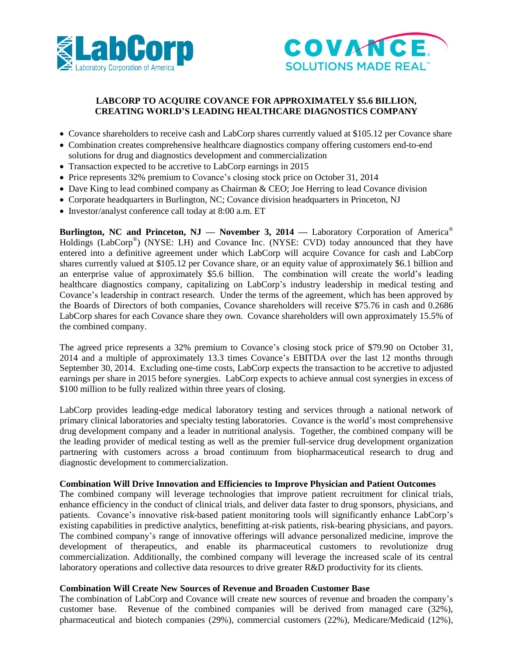



## **LABCORP TO ACQUIRE COVANCE FOR APPROXIMATELY \$5.6 BILLION, CREATING WORLD'S LEADING HEALTHCARE DIAGNOSTICS COMPANY**

- Covance shareholders to receive cash and LabCorp shares currently valued at \$105.12 per Covance share
- Combination creates comprehensive healthcare diagnostics company offering customers end-to-end solutions for drug and diagnostics development and commercialization
- Transaction expected to be accretive to LabCorp earnings in 2015
- Price represents 32% premium to Covance's closing stock price on October 31, 2014
- Dave King to lead combined company as Chairman & CEO; Joe Herring to lead Covance division
- Corporate headquarters in Burlington, NC; Covance division headquarters in Princeton, NJ
- Investor/analyst conference call today at 8:00 a.m. ET

**Burlington, NC and Princeton, NJ — November 3, 2014 —** Laboratory Corporation of America® Holdings (LabCorp<sup>®</sup>) (NYSE: LH) and Covance Inc. (NYSE: CVD) today announced that they have entered into a definitive agreement under which LabCorp will acquire Covance for cash and LabCorp shares currently valued at \$105.12 per Covance share, or an equity value of approximately \$6.1 billion and an enterprise value of approximately \$5.6 billion. The combination will create the world's leading healthcare diagnostics company, capitalizing on LabCorp's industry leadership in medical testing and Covance's leadership in contract research. Under the terms of the agreement, which has been approved by the Boards of Directors of both companies, Covance shareholders will receive \$75.76 in cash and 0.2686 LabCorp shares for each Covance share they own. Covance shareholders will own approximately 15.5% of the combined company.

The agreed price represents a 32% premium to Covance's closing stock price of \$79.90 on October 31, 2014 and a multiple of approximately 13.3 times Covance's EBITDA over the last 12 months through September 30, 2014. Excluding one-time costs, LabCorp expects the transaction to be accretive to adjusted earnings per share in 2015 before synergies. LabCorp expects to achieve annual cost synergies in excess of \$100 million to be fully realized within three years of closing.

LabCorp provides leading-edge medical laboratory testing and services through a national network of primary clinical laboratories and specialty testing laboratories. Covance is the world's most comprehensive drug development company and a leader in nutritional analysis. Together, the combined company will be the leading provider of medical testing as well as the premier full-service drug development organization partnering with customers across a broad continuum from biopharmaceutical research to drug and diagnostic development to commercialization.

#### **Combination Will Drive Innovation and Efficiencies to Improve Physician and Patient Outcomes**

The combined company will leverage technologies that improve patient recruitment for clinical trials, enhance efficiency in the conduct of clinical trials, and deliver data faster to drug sponsors, physicians, and patients. Covance's innovative risk-based patient monitoring tools will significantly enhance LabCorp's existing capabilities in predictive analytics, benefitting at-risk patients, risk-bearing physicians, and payors. The combined company's range of innovative offerings will advance personalized medicine, improve the development of therapeutics, and enable its pharmaceutical customers to revolutionize drug commercialization. Additionally, the combined company will leverage the increased scale of its central laboratory operations and collective data resources to drive greater R&D productivity for its clients.

#### **Combination Will Create New Sources of Revenue and Broaden Customer Base**

The combination of LabCorp and Covance will create new sources of revenue and broaden the company's customer base. Revenue of the combined companies will be derived from managed care (32%), pharmaceutical and biotech companies (29%), commercial customers (22%), Medicare/Medicaid (12%),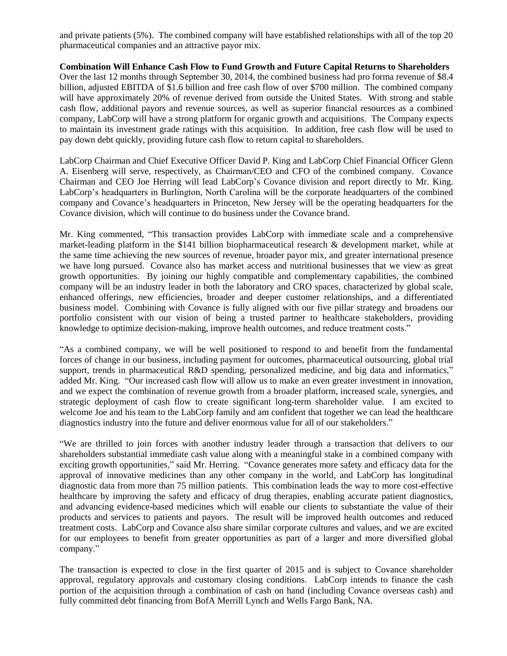and private patients (5%). The combined company will have established relationships with all of the top 20 pharmaceutical companies and an attractive payor mix.

**Combination Will Enhance Cash Flow to Fund Growth and Future Capital Returns to Shareholders** Over the last 12 months through September 30, 2014, the combined business had pro forma revenue of \$8.4 billion, adjusted EBITDA of \$1.6 billion and free cash flow of over \$700 million. The combined company will have approximately 20% of revenue derived from outside the United States. With strong and stable cash flow, additional payors and revenue sources, as well as superior financial resources as a combined company, LabCorp will have a strong platform for organic growth and acquisitions. The Company expects to maintain its investment grade ratings with this acquisition. In addition, free cash flow will be used to pay down debt quickly, providing future cash flow to return capital to shareholders.

LabCorp Chairman and Chief Executive Officer David P. King and LabCorp Chief Financial Officer Glenn A. Eisenberg will serve, respectively, as Chairman/CEO and CFO of the combined company. Covance Chairman and CEO Joe Herring will lead LabCorp's Covance division and report directly to Mr. King. LabCorp's headquarters in Burlington, North Carolina will be the corporate headquarters of the combined company and Covance's headquarters in Princeton, New Jersey will be the operating headquarters for the Covance division, which will continue to do business under the Covance brand.

Mr. King commented, "This transaction provides LabCorp with immediate scale and a comprehensive market-leading platform in the \$141 billion biopharmaceutical research & development market, while at the same time achieving the new sources of revenue, broader payor mix, and greater international presence we have long pursued. Covance also has market access and nutritional businesses that we view as great growth opportunities. By joining our highly compatible and complementary capabilities, the combined company will be an industry leader in both the laboratory and CRO spaces, characterized by global scale, enhanced offerings, new efficiencies, broader and deeper customer relationships, and a differentiated business model. Combining with Covance is fully aligned with our five pillar strategy and broadens our portfolio consistent with our vision of being a trusted partner to healthcare stakeholders, providing knowledge to optimize decision-making, improve health outcomes, and reduce treatment costs."

"As a combined company, we will be well positioned to respond to and benefit from the fundamental forces of change in our business, including payment for outcomes, pharmaceutical outsourcing, global trial support, trends in pharmaceutical R&D spending, personalized medicine, and big data and informatics," added Mr. King. "Our increased cash flow will allow us to make an even greater investment in innovation, and we expect the combination of revenue growth from a broader platform, increased scale, synergies, and strategic deployment of cash flow to create significant long-term shareholder value. I am excited to welcome Joe and his team to the LabCorp family and am confident that together we can lead the healthcare diagnostics industry into the future and deliver enormous value for all of our stakeholders."

"We are thrilled to join forces with another industry leader through a transaction that delivers to our shareholders substantial immediate cash value along with a meaningful stake in a combined company with exciting growth opportunities," said Mr. Herring. "Covance generates more safety and efficacy data for the approval of innovative medicines than any other company in the world, and LabCorp has longitudinal diagnostic data from more than 75 million patients. This combination leads the way to more cost-effective healthcare by improving the safety and efficacy of drug therapies, enabling accurate patient diagnostics, and advancing evidence-based medicines which will enable our clients to substantiate the value of their products and services to patients and payors. The result will be improved health outcomes and reduced treatment costs. LabCorp and Covance also share similar corporate cultures and values, and we are excited for our employees to benefit from greater opportunities as part of a larger and more diversified global company."

The transaction is expected to close in the first quarter of 2015 and is subject to Covance shareholder approval, regulatory approvals and customary closing conditions. LabCorp intends to finance the cash portion of the acquisition through a combination of cash on hand (including Covance overseas cash) and fully committed debt financing from BofA Merrill Lynch and Wells Fargo Bank, NA.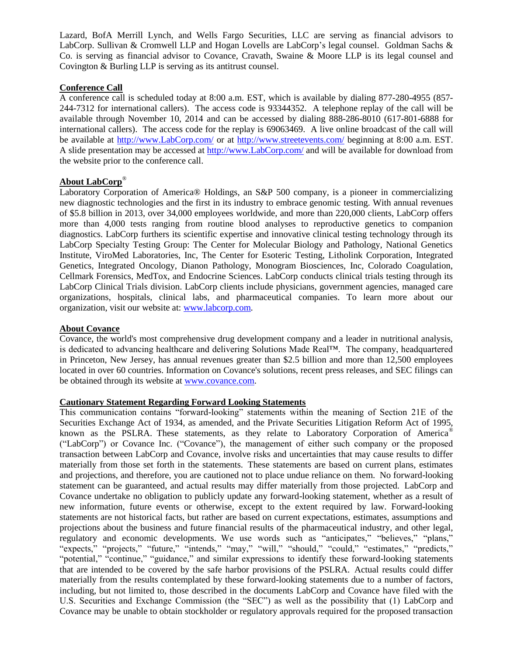Lazard, BofA Merrill Lynch, and Wells Fargo Securities, LLC are serving as financial advisors to LabCorp. Sullivan & Cromwell LLP and Hogan Lovells are LabCorp's legal counsel. Goldman Sachs & Co. is serving as financial advisor to Covance, Cravath, Swaine & Moore LLP is its legal counsel and Covington & Burling LLP is serving as its antitrust counsel.

### **Conference Call**

A conference call is scheduled today at 8:00 a.m. EST, which is available by dialing 877-280-4955 (857- 244-7312 for international callers). The access code is 93344352. A telephone replay of the call will be available through November 10, 2014 and can be accessed by dialing 888-286-8010 (617-801-6888 for international callers). The access code for the replay is 69063469. A live online broadcast of the call will be available at [http://www.LabCorp.com/](http://www.labcorp.com/) or at<http://www.streetevents.com/> beginning at 8:00 a.m. EST. A slide presentation may be accessed at [http://www.LabCorp.com/](http://www.labcorp.com/) and will be available for download from the website prior to the conference call.

# **About LabCorp**®

Laboratory Corporation of America® Holdings, an S&P 500 company, is a pioneer in commercializing new diagnostic technologies and the first in its industry to embrace genomic testing. With annual revenues of \$5.8 billion in 2013, over 34,000 employees worldwide, and more than 220,000 clients, LabCorp offers more than 4,000 tests ranging from routine blood analyses to reproductive genetics to companion diagnostics. LabCorp furthers its scientific expertise and innovative clinical testing technology through its LabCorp Specialty Testing Group: The Center for Molecular Biology and Pathology, National Genetics Institute, ViroMed Laboratories, Inc, The Center for Esoteric Testing, Litholink Corporation, Integrated Genetics, Integrated Oncology, Dianon Pathology, Monogram Biosciences, Inc, Colorado Coagulation, Cellmark Forensics, MedTox, and Endocrine Sciences. LabCorp conducts clinical trials testing through its LabCorp Clinical Trials division. LabCorp clients include physicians, government agencies, managed care organizations, hospitals, clinical labs, and pharmaceutical companies. To learn more about our organization, visit our website at: [www.labcorp.com.](http://www.labcorp.com/)

### **About Covance**

Covance, the world's most comprehensive drug development company and a leader in nutritional analysis, is dedicated to advancing healthcare and delivering Solutions Made Real™. The company, headquartered in Princeton, New Jersey, has annual revenues greater than \$2.5 billion and more than 12,500 employees located in over 60 countries. Information on Covance's solutions, recent press releases, and SEC filings can be obtained through its website at [www.covance.com.](http://www.covance.com/)

#### **Cautionary Statement Regarding Forward Looking Statements**

This communication contains "forward-looking" statements within the meaning of Section 21E of the Securities Exchange Act of 1934, as amended, and the Private Securities Litigation Reform Act of 1995, known as the PSLRA. These statements, as they relate to Laboratory Corporation of America® ("LabCorp") or Covance Inc. ("Covance"), the management of either such company or the proposed transaction between LabCorp and Covance, involve risks and uncertainties that may cause results to differ materially from those set forth in the statements. These statements are based on current plans, estimates and projections, and therefore, you are cautioned not to place undue reliance on them. No forward-looking statement can be guaranteed, and actual results may differ materially from those projected. LabCorp and Covance undertake no obligation to publicly update any forward-looking statement, whether as a result of new information, future events or otherwise, except to the extent required by law. Forward-looking statements are not historical facts, but rather are based on current expectations, estimates, assumptions and projections about the business and future financial results of the pharmaceutical industry, and other legal, regulatory and economic developments. We use words such as "anticipates," "believes," "plans," "expects," "projects," "future," "intends," "may," "will," "should," "could," "estimates," "predicts," "potential," "continue," "guidance," and similar expressions to identify these forward-looking statements that are intended to be covered by the safe harbor provisions of the PSLRA. Actual results could differ materially from the results contemplated by these forward-looking statements due to a number of factors, including, but not limited to, those described in the documents LabCorp and Covance have filed with the U.S. Securities and Exchange Commission (the "SEC") as well as the possibility that (1) LabCorp and Covance may be unable to obtain stockholder or regulatory approvals required for the proposed transaction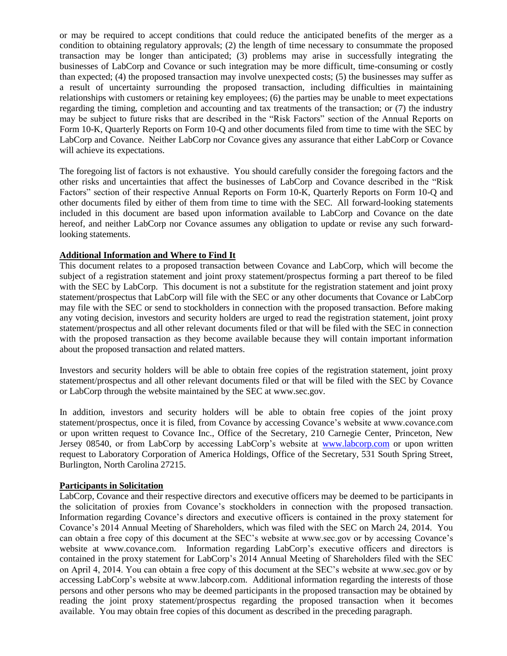or may be required to accept conditions that could reduce the anticipated benefits of the merger as a condition to obtaining regulatory approvals; (2) the length of time necessary to consummate the proposed transaction may be longer than anticipated; (3) problems may arise in successfully integrating the businesses of LabCorp and Covance or such integration may be more difficult, time-consuming or costly than expected; (4) the proposed transaction may involve unexpected costs; (5) the businesses may suffer as a result of uncertainty surrounding the proposed transaction, including difficulties in maintaining relationships with customers or retaining key employees; (6) the parties may be unable to meet expectations regarding the timing, completion and accounting and tax treatments of the transaction; or (7) the industry may be subject to future risks that are described in the "Risk Factors" section of the Annual Reports on Form 10-K, Quarterly Reports on Form 10-Q and other documents filed from time to time with the SEC by LabCorp and Covance. Neither LabCorp nor Covance gives any assurance that either LabCorp or Covance will achieve its expectations.

The foregoing list of factors is not exhaustive. You should carefully consider the foregoing factors and the other risks and uncertainties that affect the businesses of LabCorp and Covance described in the "Risk Factors" section of their respective Annual Reports on Form 10-K, Quarterly Reports on Form 10-Q and other documents filed by either of them from time to time with the SEC. All forward-looking statements included in this document are based upon information available to LabCorp and Covance on the date hereof, and neither LabCorp nor Covance assumes any obligation to update or revise any such forwardlooking statements.

### **Additional Information and Where to Find It**

This document relates to a proposed transaction between Covance and LabCorp, which will become the subject of a registration statement and joint proxy statement/prospectus forming a part thereof to be filed with the SEC by LabCorp. This document is not a substitute for the registration statement and joint proxy statement/prospectus that LabCorp will file with the SEC or any other documents that Covance or LabCorp may file with the SEC or send to stockholders in connection with the proposed transaction. Before making any voting decision, investors and security holders are urged to read the registration statement, joint proxy statement/prospectus and all other relevant documents filed or that will be filed with the SEC in connection with the proposed transaction as they become available because they will contain important information about the proposed transaction and related matters.

Investors and security holders will be able to obtain free copies of the registration statement, joint proxy statement/prospectus and all other relevant documents filed or that will be filed with the SEC by Covance or LabCorp through the website maintained by the SEC at www.sec.gov.

In addition, investors and security holders will be able to obtain free copies of the joint proxy statement/prospectus, once it is filed, from Covance by accessing Covance's website at www.covance.com or upon written request to Covance Inc., Office of the Secretary, 210 Carnegie Center, Princeton, New Jersey 08540, or from LabCorp by accessing LabCorp's website at [www.labcorp.com](http://www.labcorp.com/) or upon written request to Laboratory Corporation of America Holdings, Office of the Secretary, 531 South Spring Street, Burlington, North Carolina 27215.

## **Participants in Solicitation**

LabCorp, Covance and their respective directors and executive officers may be deemed to be participants in the solicitation of proxies from Covance's stockholders in connection with the proposed transaction. Information regarding Covance's directors and executive officers is contained in the proxy statement for Covance's 2014 Annual Meeting of Shareholders, which was filed with the SEC on March 24, 2014. You can obtain a free copy of this document at the SEC's website at www.sec.gov or by accessing Covance's website at www.covance.com. Information regarding LabCorp's executive officers and directors is contained in the proxy statement for LabCorp's 2014 Annual Meeting of Shareholders filed with the SEC on April 4, 2014. You can obtain a free copy of this document at the SEC's website at www.sec.gov or by accessing LabCorp's website at www.labcorp.com. Additional information regarding the interests of those persons and other persons who may be deemed participants in the proposed transaction may be obtained by reading the joint proxy statement/prospectus regarding the proposed transaction when it becomes available. You may obtain free copies of this document as described in the preceding paragraph.